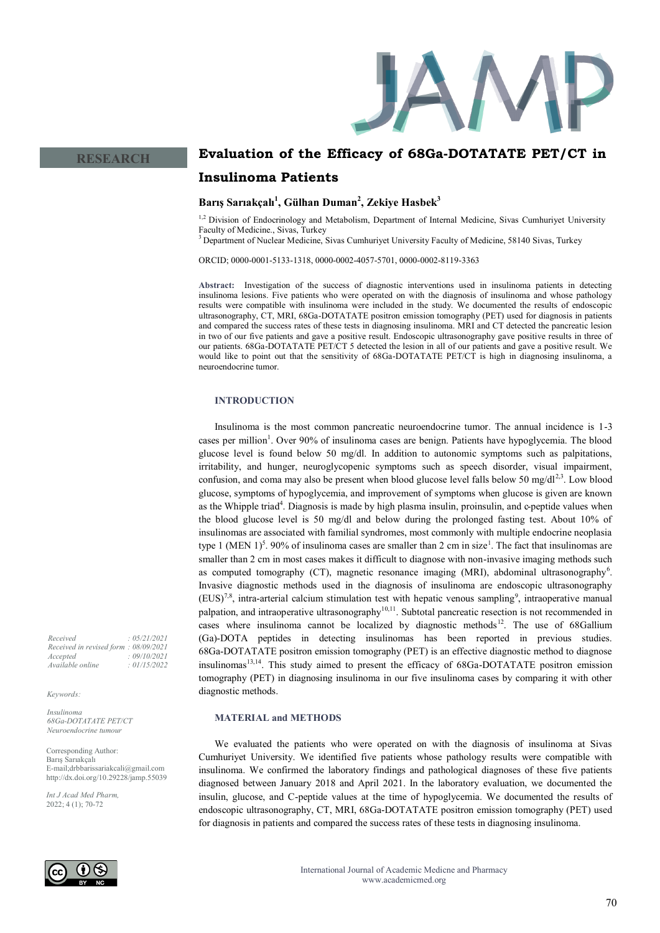

# **Evaluation of the Efficacy of 68Ga-DOTATATE PET/CT in Insulinoma Patients**

## **Barış Sarıakçalı<sup>1</sup> , Gülhan Duman<sup>2</sup> , Zekiye Hasbek<sup>3</sup>**

<sup>1,2</sup> Division of Endocrinology and Metabolism, Department of Internal Medicine, Sivas Cumhuriyet University Faculty of Medicine., Sivas, Turkey

<sup>3</sup> Department of Nuclear Medicine, Sivas Cumhuriyet University Faculty of Medicine, 58140 Sivas, Turkey

ORCID; 0000-0001-5133-1318, 0000-0002-4057-5701, 0000-0002-8119-3363

**Abstract:** Investigation of the success of diagnostic interventions used in insulinoma patients in detecting insulinoma lesions. Five patients who were operated on with the diagnosis of insulinoma and whose pathology results were compatible with insulinoma were included in the study. We documented the results of endoscopic ultrasonography, CT, MRI, 68Ga-DOTATATE positron emission tomography (PET) used for diagnosis in patients and compared the success rates of these tests in diagnosing insulinoma. MRI and CT detected the pancreatic lesion in two of our five patients and gave a positive result. Endoscopic ultrasonography gave positive results in three of our patients. 68Ga-DOTATATE PET/CT 5 detected the lesion in all of our patients and gave a positive result. We would like to point out that the sensitivity of 68Ga-DOTATATE PET/CT is high in diagnosing insulinoma, a neuroendocrine tumor.

#### **INTRODUCTION**

Insulinoma is the most common pancreatic neuroendocrine tumor. The annual incidence is 1-3 cases per million<sup>1</sup>. Over 90% of insulinoma cases are benign. Patients have hypoglycemia. The blood glucose level is found below 50 mg/dl. In addition to autonomic symptoms such as palpitations, irritability, and hunger, neuroglycopenic symptoms such as speech disorder, visual impairment, confusion, and coma may also be present when blood glucose level falls below 50 mg/dl<sup>2,3</sup>. Low blood glucose, symptoms of hypoglycemia, and improvement of symptoms when glucose is given are known as the Whipple triad<sup>4</sup>. Diagnosis is made by high plasma insulin, proinsulin, and c-peptide values when the blood glucose level is 50 mg/dl and below during the prolonged fasting test. About 10% of insulinomas are associated with familial syndromes, most commonly with multiple endocrine neoplasia type 1 (MEN 1)<sup>5</sup>. 90% of insulinoma cases are smaller than 2 cm in size<sup>1</sup>. The fact that insulinomas are smaller than 2 cm in most cases makes it difficult to diagnose with non-invasive imaging methods such as computed tomography (CT), magnetic resonance imaging (MRI), abdominal ultrasonography<sup>6</sup>. Invasive diagnostic methods used in the diagnosis of insulinoma are endoscopic ultrasonography  $(EUS)<sup>7,8</sup>$ , intra-arterial calcium stimulation test with hepatic venous sampling<sup>9</sup>, intraoperative manual palpation, and intraoperative ultrasonography<sup>10,11</sup>. Subtotal pancreatic resection is not recommended in cases where insulinoma cannot be localized by diagnostic methods<sup>12</sup>. The use of 68Gallium (Ga)-DOTA peptides in detecting insulinomas has been reported in previous studies. 68Ga-DOTATATE positron emission tomography (PET) is an effective diagnostic method to diagnose insulinomas<sup>13,14</sup>. This study aimed to present the efficacy of 68Ga-DOTATATE positron emission tomography (PET) in diagnosing insulinoma in our five insulinoma cases by comparing it with other diagnostic methods.

### **MATERIAL and METHODS**

We evaluated the patients who were operated on with the diagnosis of insulinoma at Sivas Cumhuriyet University. We identified five patients whose pathology results were compatible with insulinoma. We confirmed the laboratory findings and pathological diagnoses of these five patients diagnosed between January 2018 and April 2021. In the laboratory evaluation, we documented the insulin, glucose, and C-peptide values at the time of hypoglycemia. We documented the results of endoscopic ultrasonography, CT, MRI, 68Ga-DOTATATE positron emission tomography (PET) used for diagnosis in patients and compared the success rates of these tests in diagnosing insulinoma.

*Received : 05/21/2021 Received in revised form : 08/09/2021 Accepted : 09/10/2021 Available online : 01/15/2022*

*Keywords:*

*Insulinoma 68Ga-DOTATATE PET/CT Neuroendocrine tumour*

Corresponding Author: Barış Sarıakçalı E-mail;drbbarissariakcali@gmail.com http://dx.doi.org/10.29228/jamp.55039

*Int J Acad Med Pharm,* 2022; 4 (1); 70-72

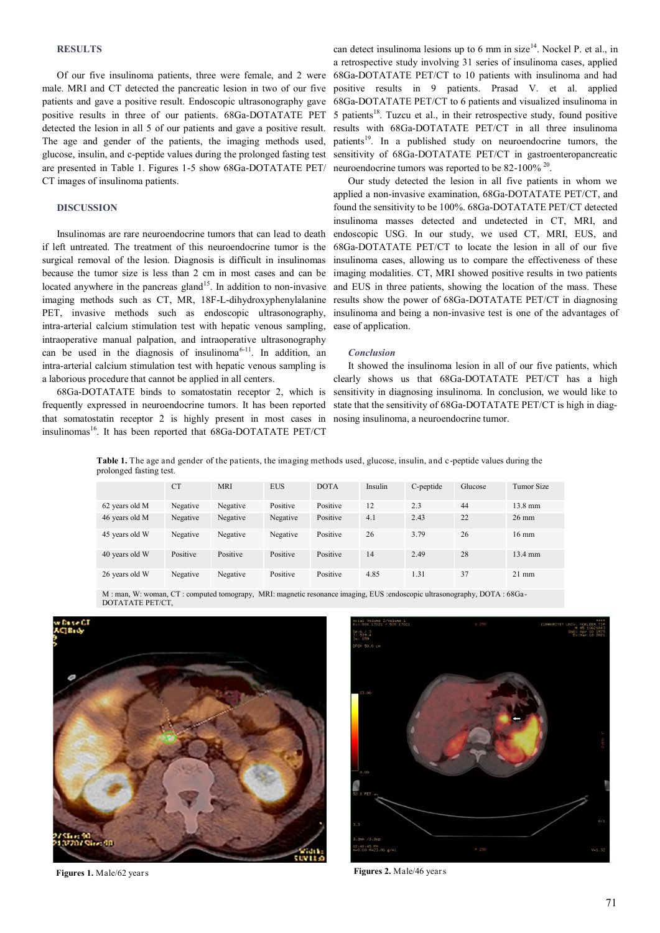#### **RESULTS**

Of our five insulinoma patients, three were female, and 2 were male. MRI and CT detected the pancreatic lesion in two of our five patients and gave a positive result. Endoscopic ultrasonography gave positive results in three of our patients. 68Ga-DOTATATE PET detected the lesion in all 5 of our patients and gave a positive result. The age and gender of the patients, the imaging methods used, glucose, insulin, and c-peptide values during the prolonged fasting test are presented in Table 1. Figures 1-5 show 68Ga-DOTATATE PET/ CT images of insulinoma patients.

## **DISCUSSION**

Insulinomas are rare neuroendocrine tumors that can lead to death if left untreated. The treatment of this neuroendocrine tumor is the surgical removal of the lesion. Diagnosis is difficult in insulinomas because the tumor size is less than 2 cm in most cases and can be located anywhere in the pancreas gland<sup>15</sup>. In addition to non-invasive imaging methods such as CT, MR, 18F-L-dihydroxyphenylalanine PET, invasive methods such as endoscopic ultrasonography, intra-arterial calcium stimulation test with hepatic venous sampling, intraoperative manual palpation, and intraoperative ultrasonography can be used in the diagnosis of insulinoma<sup>6-11</sup>. In addition, an intra-arterial calcium stimulation test with hepatic venous sampling is a laborious procedure that cannot be applied in all centers.

68Ga-DOTATATE binds to somatostatin receptor 2, which is frequently expressed in neuroendocrine tumors. It has been reported that somatostatin receptor 2 is highly present in most cases in insulinomas<sup>16</sup>. It has been reported that 68Ga-DOTATATE PET/CT

can detect insulinoma lesions up to 6 mm in size<sup>14</sup>. Nockel P. et al., in a retrospective study involving 31 series of insulinoma cases, applied 68Ga-DOTATATE PET/CT to 10 patients with insulinoma and had positive results in 9 patients. Prasad V. et al. applied 68Ga-DOTATATE PET/CT to 6 patients and visualized insulinoma in 5 patients<sup>18</sup>. Tuzcu et al., in their retrospective study, found positive results with 68Ga-DOTATATE PET/CT in all three insulinoma patients<sup>19</sup>. In a published study on neuroendocrine tumors, the sensitivity of 68Ga-DOTATATE PET/CT in gastroenteropancreatic neuroendocrine tumors was reported to be 82-100% <sup>20</sup>.

Our study detected the lesion in all five patients in whom we applied a non-invasive examination, 68Ga-DOTATATE PET/CT, and found the sensitivity to be 100%. 68Ga-DOTATATE PET/CT detected insulinoma masses detected and undetected in CT, MRI, and endoscopic USG. In our study, we used CT, MRI, EUS, and 68Ga-DOTATATE PET/CT to locate the lesion in all of our five insulinoma cases, allowing us to compare the effectiveness of these imaging modalities. CT, MRI showed positive results in two patients and EUS in three patients, showing the location of the mass. These results show the power of 68Ga-DOTATATE PET/CT in diagnosing insulinoma and being a non-invasive test is one of the advantages of ease of application.

#### *Conclusion*

It showed the insulinoma lesion in all of our five patients, which clearly shows us that 68Ga-DOTATATE PET/CT has a high sensitivity in diagnosing insulinoma. In conclusion, we would like to state that the sensitivity of 68Ga-DOTATATE PET/CT is high in diagnosing insulinoma, a neuroendocrine tumor.

**Table 1.** The age and gender of the patients, the imaging methods used, glucose, insulin, and c-peptide values during the prolonged fasting test.

|                | <b>CT</b> | <b>MRI</b> | <b>EUS</b> | <b>DOTA</b> | Insulin |           | Glucose | Tumor Size        |
|----------------|-----------|------------|------------|-------------|---------|-----------|---------|-------------------|
|                |           |            |            |             |         | C-peptide |         |                   |
| 62 years old M | Negative  | Negative   | Positive   | Positive    | 12      | 2.3       | 44      | $13.8 \text{ mm}$ |
| 46 years old M | Negative  | Negative   | Negative   | Positive    | 4.1     | 2.43      | 22      | $26 \text{ mm}$   |
| 45 years old W | Negative  | Negative   | Negative   | Positive    | 26      | 3.79      | 26      | $16 \text{ mm}$   |
| 40 years old W | Positive  | Positive   | Positive   | Positive    | 14      | 2.49      | 28      | $13.4 \text{ mm}$ |
| 26 years old W | Negative  | Negative   | Positive   | Positive    | 4.85    | 1.31      | 37      | $21 \text{ mm}$   |

M : man, W: woman, CT : computed tomograpy, MRI: magnetic resonance imaging, EUS :endoscopic ultrasonography, DOTA : 68Ga-DOTATATE PET/CT,